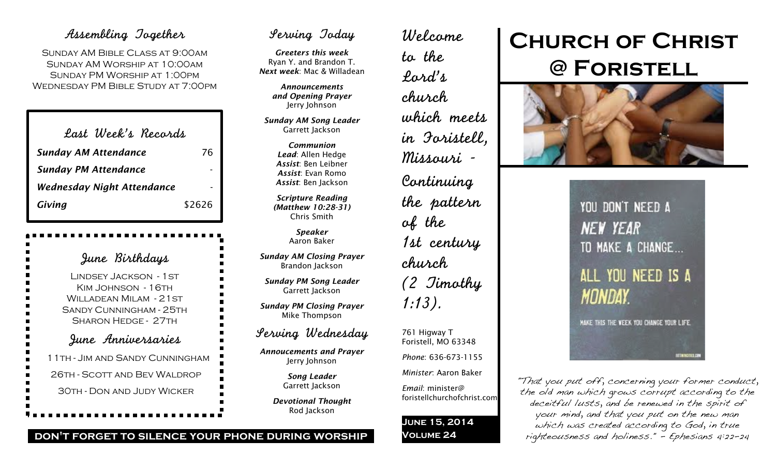# Assembling Together

Sunday AM Bible Class at 9:00am Sunday AM Worship at 10:00am Sunday PM Worship at 1:00pm Wednesday PM Bible Study at 7:00pm

| Last Week's Records               |        |
|-----------------------------------|--------|
| <b>Sunday AM Attendance</b>       | 76     |
| <b>Sunday PM Attendance</b>       |        |
| <b>Wednesday Night Attendance</b> |        |
| Giving                            | \$2626 |

June Birthdays Lindsey Jackson - 1st KIM JOHNSON - 16TH WILLADEAN MILAM - 21 ST Sandy Cunningham - 25th Sharon Hedge - 27th June Anniversaries 11th - Jim and Sandy Cunningham 26th - Scott and Bev Waldrop 30th - Don and Judy Wicker

# Serving Today

*Greeters this week* Ryan Y. and Brandon T. *Next week*: Mac & Willadean

> *Announcements and Opening Prayer* Jerry Johnson

*Sunday AM Song Leader* Garrett Jackson

> *Communion Lead*: Allen Hedge *Assist*: Ben Leibner *Assist*: Evan Romo *Assist*: Ben Jackson

*Scripture Reading (Matthew 10:28-31)* Chris Smith

> *Speaker* Aaron Baker

*Sunday AM Closing Prayer* Brandon Jackson

*Sunday PM Song Leader* Garrett Jackson

*Sunday PM Closing Prayer* Mike Thompson

# Serving Wednesday

*Annoucements and Prayer* Jerry Johnson

> *Song Leader* Garrett Jackson

*Devotional Thought* Rod Jackson

Welcome to the Lord's church which meets in Foristell, Missouri - Continuing the pattern of the 1st century church (2 Timothy 1:13).

761 Higway T Foristell, MO 63348 *Phone*: 636-673-1155

*Minister*: Aaron Baker

*Email*: minister@ foristellchurchofchrist.com

**June 15, 2014 Volume 24**

# **Church of Christ @ Foristell**



YOU DON'T NEED A **NEW YEAR** TO MAKE A CHANGE... ALL YOU NEED IS A **MONDAY.** 

MAKE THIS THE WEEK YOU CHANGE YOUR LIFE.

**INTIWINGIBIS.COM** 

"That you put off, concerning your former conduct, the old man which grows corrupt according to the deceitful lusts, and be renewed in the spirit of your mind, and that you put on the new man which was created according to God, in true righteousness and holiness." - Ephesians 4:22-24

# **don't forget to silence your phone during worship**